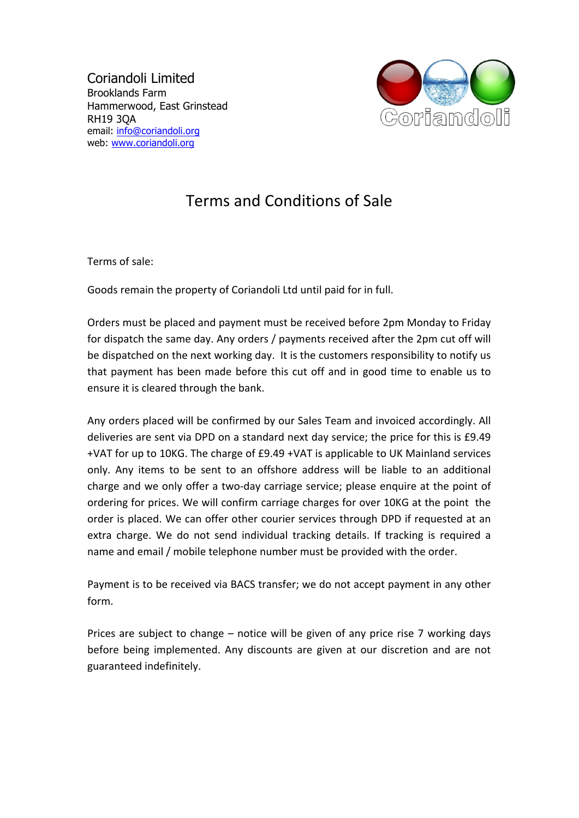Coriandoli Limited Brooklands Farm Hammerwood, East Grinstead RH19 3QA email: info@coriandoli.org web: www.coriandoli.org



## Terms and Conditions of Sale

Terms of sale:

Goods remain the property of Coriandoli Ltd until paid for in full.

Orders must be placed and payment must be received before 2pm Monday to Friday for dispatch the same day. Any orders / payments received after the 2pm cut off will be dispatched on the next working day. It is the customers responsibility to notify us that payment has been made before this cut off and in good time to enable us to ensure it is cleared through the bank.

Any orders placed will be confirmed by our Sales Team and invoiced accordingly. All deliveries are sent via DPD on a standard next day service; the price for this is £9.49 +VAT for up to 10KG. The charge of £9.49 +VAT is applicable to UK Mainland services only. Any items to be sent to an offshore address will be liable to an additional charge and we only offer a two-day carriage service; please enquire at the point of ordering for prices. We will confirm carriage charges for over 10KG at the point the order is placed. We can offer other courier services through DPD if requested at an extra charge. We do not send individual tracking details. If tracking is required a name and email / mobile telephone number must be provided with the order.

Payment is to be received via BACS transfer; we do not accept payment in any other form. 

Prices are subject to change  $-$  notice will be given of any price rise  $7$  working days before being implemented. Any discounts are given at our discretion and are not guaranteed indefinitely.